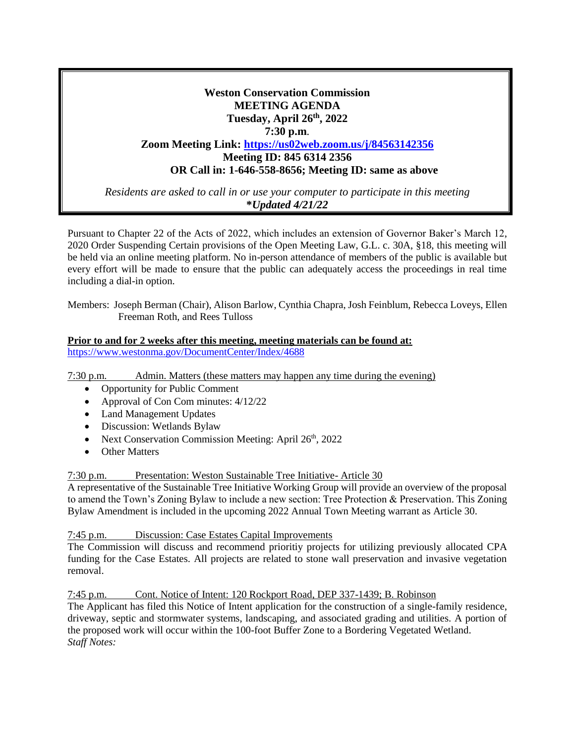# **Weston Conservation Commission MEETING AGENDA Tuesday, April 26th, 2022 7:30 p.m**. **Zoom Meeting Link: <https://us02web.zoom.us/j/84563142356> Meeting ID: 845 6314 2356 OR Call in: 1-646-558-8656; Meeting ID: same as above**

*Residents are asked to call in or use your computer to participate in this meeting* **\****Updated 4/21/22*

Pursuant to Chapter 22 of the Acts of 2022, which includes an extension of Governor Baker's March 12, 2020 Order Suspending Certain provisions of the Open Meeting Law, G.L. c. 30A, §18, this meeting will be held via an online meeting platform. No in-person attendance of members of the public is available but every effort will be made to ensure that the public can adequately access the proceedings in real time including a dial-in option.

Members: Joseph Berman (Chair), Alison Barlow, Cynthia Chapra, Josh Feinblum, Rebecca Loveys, Ellen Freeman Roth, and Rees Tulloss

#### **Prior to and for 2 weeks after this meeting, meeting materials can be found at:** <https://www.westonma.gov/DocumentCenter/Index/4688>

7:30 p.m. Admin. Matters (these matters may happen any time during the evening)

- Opportunity for Public Comment
- Approval of Con Com minutes:  $4/12/22$
- Land Management Updates
- Discussion: Wetlands Bylaw
- Next Conservation Commission Meeting: April  $26<sup>th</sup>$ , 2022
- Other Matters

7:30 p.m. Presentation: Weston Sustainable Tree Initiative- Article 30

A representative of the Sustainable Tree Initiative Working Group will provide an overview of the proposal to amend the Town's Zoning Bylaw to include a new section: Tree Protection & Preservation. This Zoning Bylaw Amendment is included in the upcoming 2022 Annual Town Meeting warrant as Article 30.

#### 7:45 p.m. Discussion: Case Estates Capital Improvements

The Commission will discuss and recommend prioritiy projects for utilizing previously allocated CPA funding for the Case Estates. All projects are related to stone wall preservation and invasive vegetation removal.

7:45 p.m. Cont. Notice of Intent: 120 Rockport Road, DEP 337-1439; B. Robinson

The Applicant has filed this Notice of Intent application for the construction of a single-family residence, driveway, septic and stormwater systems, landscaping, and associated grading and utilities. A portion of the proposed work will occur within the 100-foot Buffer Zone to a Bordering Vegetated Wetland. *Staff Notes:*